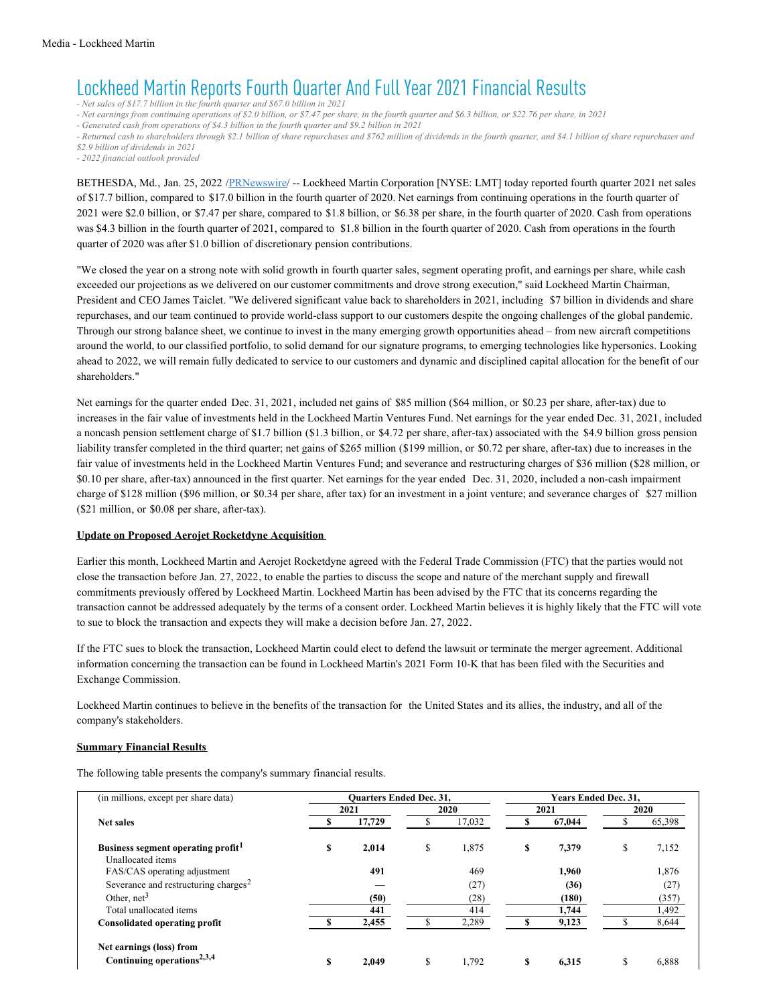# Lockheed Martin Reports Fourth Quarter And Full Year 2021 Financial Results

*- Net sales of \$17.7 billion in the fourth quarter and \$67.0 billion in 2021*

- Net earnings from continuing operations of \$2.0 billion, or \$7.47 per share, in the fourth quarter and \$6.3 billion, or \$22.76 per share, in 2021

*- Generated cash from operations of \$4.3 billion in the fourth quarter and \$9.2 billion in 2021*

- Returned cash to shareholders through \$2.1 billion of share repurchases and \$762 million of dividends in the fourth quarter, and \$4.1 billion of share repurchases and *\$2.9 billion of dividends in 2021*

*- 2022 financial outlook provided*

BETHESDA, Md., Jan. 25, 2022 [/PRNewswire](http://www.prnewswire.com/)/ -- Lockheed Martin Corporation [NYSE: LMT] today reported fourth quarter 2021 net sales of \$17.7 billion, compared to \$17.0 billion in the fourth quarter of 2020. Net earnings from continuing operations in the fourth quarter of 2021 were \$2.0 billion, or \$7.47 per share, compared to \$1.8 billion, or \$6.38 per share, in the fourth quarter of 2020. Cash from operations was \$4.3 billion in the fourth quarter of 2021, compared to \$1.8 billion in the fourth quarter of 2020. Cash from operations in the fourth quarter of 2020 was after \$1.0 billion of discretionary pension contributions.

"We closed the year on a strong note with solid growth in fourth quarter sales, segment operating profit, and earnings per share, while cash exceeded our projections as we delivered on our customer commitments and drove strong execution," said Lockheed Martin Chairman, President and CEO James Taiclet. "We delivered significant value back to shareholders in 2021, including \$7 billion in dividends and share repurchases, and our team continued to provide world-class support to our customers despite the ongoing challenges of the global pandemic. Through our strong balance sheet, we continue to invest in the many emerging growth opportunities ahead – from new aircraft competitions around the world, to our classified portfolio, to solid demand for our signature programs, to emerging technologies like hypersonics. Looking ahead to 2022, we will remain fully dedicated to service to our customers and dynamic and disciplined capital allocation for the benefit of our shareholders."

Net earnings for the quarter ended Dec. 31, 2021, included net gains of \$85 million (\$64 million, or \$0.23 per share, after-tax) due to increases in the fair value of investments held in the Lockheed Martin Ventures Fund. Net earnings for the year ended Dec. 31, 2021, included a noncash pension settlement charge of \$1.7 billion (\$1.3 billion, or \$4.72 per share, after-tax) associated with the \$4.9 billion gross pension liability transfer completed in the third quarter; net gains of \$265 million (\$199 million, or \$0.72 per share, after-tax) due to increases in the fair value of investments held in the Lockheed Martin Ventures Fund; and severance and restructuring charges of \$36 million (\$28 million, or \$0.10 per share, after-tax) announced in the first quarter. Net earnings for the year ended Dec. 31, 2020, included a non-cash impairment charge of \$128 million (\$96 million, or \$0.34 per share, after tax) for an investment in a joint venture; and severance charges of \$27 million (\$21 million, or \$0.08 per share, after-tax).

#### **Update on Proposed Aerojet Rocketdyne Acquisition**

Earlier this month, Lockheed Martin and Aerojet Rocketdyne agreed with the Federal Trade Commission (FTC) that the parties would not close the transaction before Jan. 27, 2022, to enable the parties to discuss the scope and nature of the merchant supply and firewall commitments previously offered by Lockheed Martin. Lockheed Martin has been advised by the FTC that its concerns regarding the transaction cannot be addressed adequately by the terms of a consent order. Lockheed Martin believes it is highly likely that the FTC will vote to sue to block the transaction and expects they will make a decision before Jan. 27, 2022.

If the FTC sues to block the transaction, Lockheed Martin could elect to defend the lawsuit or terminate the merger agreement. Additional information concerning the transaction can be found in Lockheed Martin's 2021 Form 10-K that has been filed with the Securities and Exchange Commission.

Lockheed Martin continues to believe in the benefits of the transaction for the United States and its allies, the industry, and all of the company's stakeholders.

#### **Summary Financial Results**

The following table presents the company's summary financial results.

| (in millions, except per share data)              |   | <b>Ouarters Ended Dec. 31,</b> |             |    | <b>Years Ended Dec. 31.</b> |             |
|---------------------------------------------------|---|--------------------------------|-------------|----|-----------------------------|-------------|
|                                                   |   | 2021                           | 2020        |    | 2021                        | 2020        |
| Net sales                                         |   | 17,729                         | 17,032      |    | 67,044                      | 65,398      |
| Business segment operating profit <sup>1</sup>    | S | 2,014                          | \$<br>1,875 | \$ | 7,379                       | \$<br>7,152 |
| Unallocated items<br>FAS/CAS operating adjustment |   | 491                            | 469         |    | 1,960                       | 1,876       |
| Severance and restructuring charges <sup>2</sup>  |   |                                | (27)        |    | (36)                        | (27)        |
| Other, $net3$                                     |   | (50)                           | (28)        |    | (180)                       | (357)       |
| Total unallocated items                           |   | 441                            | 414         |    | 1,744                       | 1,492       |
| Consolidated operating profit                     |   | 2,455                          | 2,289       |    | 9,123                       | 8,644       |
| Net earnings (loss) from                          |   |                                |             |    |                             |             |
| Continuing operations <sup>2,3,4</sup>            | S | 2,049                          | \$<br>1.792 | S  | 6,315                       | \$<br>6,888 |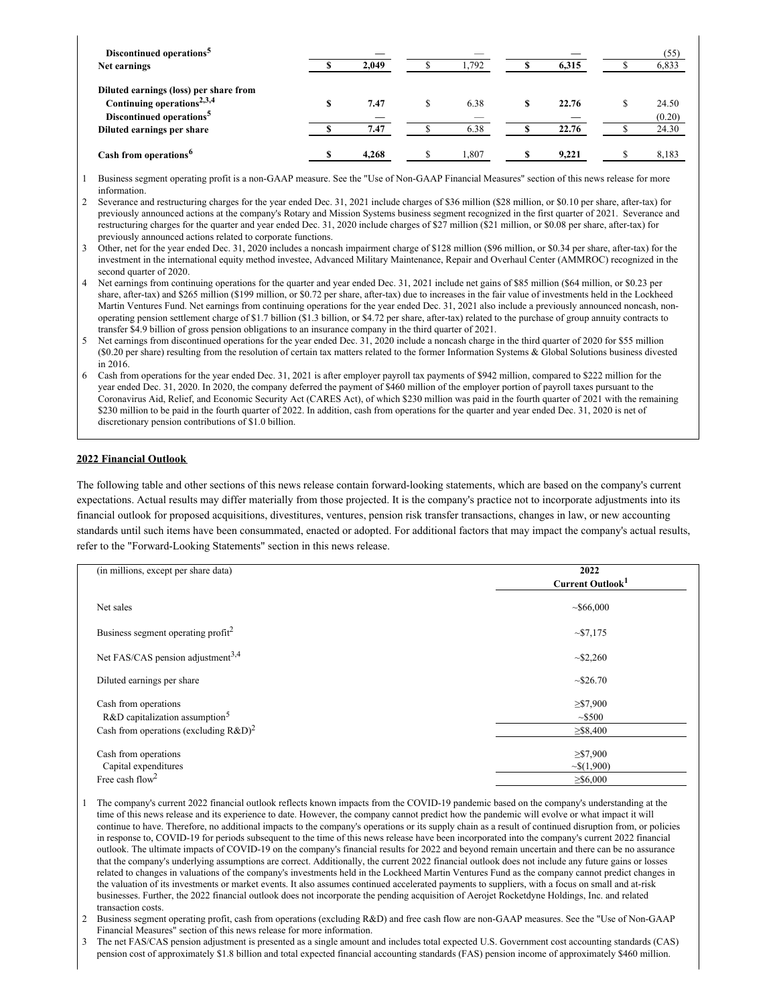| Discontinued operations <sup>5</sup>   |       |   | _     |       | (55)   |
|----------------------------------------|-------|---|-------|-------|--------|
| Net earnings                           | 2.049 |   | 1.792 | 6.315 | 6,833  |
| Diluted earnings (loss) per share from |       |   |       |       |        |
| Continuing operations <sup>2,3,4</sup> | 7.47  | S | 6.38  | 22.76 | 24.50  |
| Discontinued operations <sup>5</sup>   |       |   |       |       | (0.20) |
| Diluted earnings per share             | 7.47  |   | 6.38  | 22.76 | 24.30  |
| Cash from operations <sup>6</sup>      | 4.268 |   | 1,807 | 9,221 | 8,183  |

1 Business segment operating profit is a non-GAAP measure. See the "Use of Non-GAAP Financial Measures" section of this news release for more information.

2 Severance and restructuring charges for the year ended Dec. 31, 2021 include charges of \$36 million (\$28 million, or \$0.10 per share, after-tax) for previously announced actions at the company's Rotary and Mission Systems business segment recognized in the first quarter of 2021. Severance and restructuring charges for the quarter and year ended Dec. 31, 2020 include charges of \$27 million (\$21 million, or \$0.08 per share, after-tax) for previously announced actions related to corporate functions.

- 3 Other, net for the year ended Dec. 31, 2020 includes a noncash impairment charge of \$128 million (\$96 million, or \$0.34 per share, after-tax) for the investment in the international equity method investee, Advanced Military Maintenance, Repair and Overhaul Center (AMMROC) recognized in the second quarter of 2020.
- 4 Net earnings from continuing operations for the quarter and year ended Dec. 31, 2021 include net gains of \$85 million (\$64 million, or \$0.23 per share, after-tax) and \$265 million (\$199 million, or \$0.72 per share, after-tax) due to increases in the fair value of investments held in the Lockheed Martin Ventures Fund. Net earnings from continuing operations for the year ended Dec. 31, 2021 also include a previously announced noncash, nonoperating pension settlement charge of \$1.7 billion (\$1.3 billion, or \$4.72 per share, after-tax) related to the purchase of group annuity contracts to transfer \$4.9 billion of gross pension obligations to an insurance company in the third quarter of 2021.
- 5 Net earnings from discontinued operations for the year ended Dec. 31, 2020 include a noncash charge in the third quarter of 2020 for \$55 million (\$0.20 per share) resulting from the resolution of certain tax matters related to the former Information Systems & Global Solutions business divested in 2016.
- 6 Cash from operations for the year ended Dec. 31, 2021 is after employer payroll tax payments of \$942 million, compared to \$222 million for the year ended Dec. 31, 2020. In 2020, the company deferred the payment of \$460 million of the employer portion of payroll taxes pursuant to the Coronavirus Aid, Relief, and Economic Security Act (CARES Act), of which \$230 million was paid in the fourth quarter of 2021 with the remaining \$230 million to be paid in the fourth quarter of 2022. In addition, cash from operations for the quarter and year ended Dec. 31, 2020 is net of discretionary pension contributions of \$1.0 billion.

### **2022 Financial Outlook**

The following table and other sections of this news release contain forward-looking statements, which are based on the company's current expectations. Actual results may differ materially from those projected. It is the company's practice not to incorporate adjustments into its financial outlook for proposed acquisitions, divestitures, ventures, pension risk transfer transactions, changes in law, or new accounting standards until such items have been consummated, enacted or adopted. For additional factors that may impact the company's actual results, refer to the "Forward-Looking Statements" section in this news release.

| (in millions, except per share data)           | 2022<br>Current Outlook <sup>1</sup> |
|------------------------------------------------|--------------------------------------|
| Net sales                                      | ~566,000                             |
| Business segment operating profit <sup>2</sup> | $\sim 17.175$                        |
| Net FAS/CAS pension adjustment <sup>3,4</sup>  | $\sim 2,260$                         |
| Diluted earnings per share                     | ~526.70                              |
| Cash from operations                           | $\geq 57,900$                        |
| $R&D$ capitalization assumption <sup>5</sup>   | ~5500                                |
| Cash from operations (excluding $R&D)^2$       | $\geq$ \$8,400                       |
| Cash from operations                           | $\geq 57,900$                        |
| Capital expenditures                           | $\sim$ \$(1,900)                     |
| Free cash flow <sup>2</sup>                    | $\geq 6,000$                         |

1 The company's current 2022 financial outlook reflects known impacts from the COVID-19 pandemic based on the company's understanding at the time of this news release and its experience to date. However, the company cannot predict how the pandemic will evolve or what impact it will continue to have. Therefore, no additional impacts to the company's operations or its supply chain as a result of continued disruption from, or policies in response to, COVID-19 for periods subsequent to the time of this news release have been incorporated into the company's current 2022 financial outlook. The ultimate impacts of COVID-19 on the company's financial results for 2022 and beyond remain uncertain and there can be no assurance that the company's underlying assumptions are correct. Additionally, the current 2022 financial outlook does not include any future gains or losses related to changes in valuations of the company's investments held in the Lockheed Martin Ventures Fund as the company cannot predict changes in the valuation of its investments or market events. It also assumes continued accelerated payments to suppliers, with a focus on small and at-risk businesses. Further, the 2022 financial outlook does not incorporate the pending acquisition of Aerojet Rocketdyne Holdings, Inc. and related transaction costs.

2 Business segment operating profit, cash from operations (excluding R&D) and free cash flow are non-GAAP measures. See the "Use of Non-GAAP Financial Measures" section of this news release for more information.

3 The net FAS/CAS pension adjustment is presented as a single amount and includes total expected U.S. Government cost accounting standards (CAS) pension cost of approximately \$1.8 billion and total expected financial accounting standards (FAS) pension income of approximately \$460 million.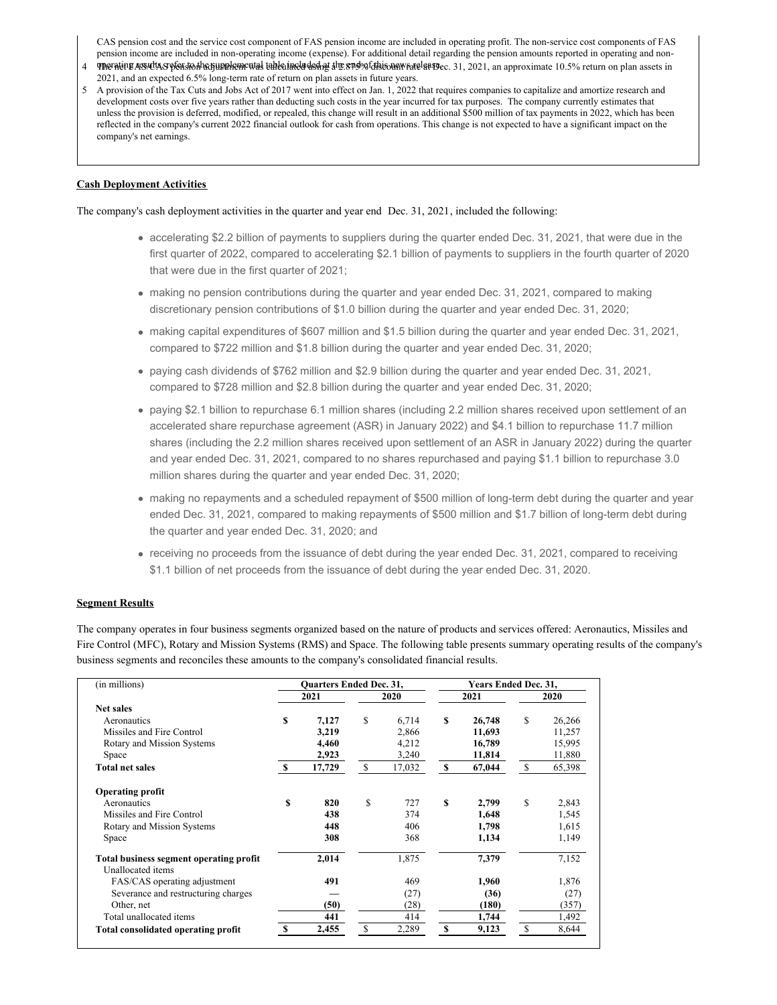CAS pension cost and the service cost component of FAS pension income are included in operating profit. The non-service cost components of FAS pension income are included in non-operating income (expense). For additional detail regarding the pension amounts reported in operating and non-4 The ration Ass of the Sension because the state of the state of the state of this connected at 99 ec. 31, 2021, an approximate 10.5% return on plan assets in

- 2021, and an expected 6.5% long-term rate of return on plan assets in future years.
- 5 A provision of the Tax Cuts and Jobs Act of 2017 went into effect on Jan. 1, 2022 that requires companies to capitalize and amortize research and development costs over five years rather than deducting such costs in the year incurred for tax purposes. The company currently estimates that unless the provision is deferred, modified, or repealed, this change will result in an additional \$500 million of tax payments in 2022, which has been reflected in the company's current 2022 financial outlook for cash from operations. This change is not expected to have a significant impact on the company's net earnings.

### **Cash Deployment Activities**

The company's cash deployment activities in the quarter and year end Dec. 31, 2021, included the following:

- accelerating \$2.2 billion of payments to suppliers during the quarter ended Dec. 31, 2021, that were due in the first quarter of 2022, compared to accelerating \$2.1 billion of payments to suppliers in the fourth quarter of 2020 that were due in the first quarter of 2021;
- making no pension contributions during the quarter and year ended Dec. 31, 2021, compared to making discretionary pension contributions of \$1.0 billion during the quarter and year ended Dec. 31, 2020;
- making capital expenditures of \$607 million and \$1.5 billion during the quarter and year ended Dec. 31, 2021, compared to \$722 million and \$1.8 billion during the quarter and year ended Dec. 31, 2020;
- paying cash dividends of \$762 million and \$2.9 billion during the quarter and year ended Dec. 31, 2021, compared to \$728 million and \$2.8 billion during the quarter and year ended Dec. 31, 2020;
- paying \$2.1 billion to repurchase 6.1 million shares (including 2.2 million shares received upon settlement of an accelerated share repurchase agreement (ASR) in January 2022) and \$4.1 billion to repurchase 11.7 million shares (including the 2.2 million shares received upon settlement of an ASR in January 2022) during the quarter and year ended Dec. 31, 2021, compared to no shares repurchased and paying \$1.1 billion to repurchase 3.0 million shares during the quarter and year ended Dec. 31, 2020;
- making no repayments and a scheduled repayment of \$500 million of long-term debt during the quarter and year ended Dec. 31, 2021, compared to making repayments of \$500 million and \$1.7 billion of long-term debt during the quarter and year ended Dec. 31, 2020; and
- receiving no proceeds from the issuance of debt during the year ended Dec. 31, 2021, compared to receiving \$1.1 billion of net proceeds from the issuance of debt during the year ended Dec. 31, 2020.

### **Segment Results**

The company operates in four business segments organized based on the nature of products and services offered: Aeronautics, Missiles and Fire Control (MFC), Rotary and Mission Systems (RMS) and Space. The following table presents summary operating results of the company's business segments and reconciles these amounts to the company's consolidated financial results.

| (in millions)                           |    | <b>Ouarters Ended Dec. 31,</b> |   |        |   | Years Ended Dec. 31, |    |        |
|-----------------------------------------|----|--------------------------------|---|--------|---|----------------------|----|--------|
|                                         |    | 2021                           |   | 2020   |   | 2021                 |    | 2020   |
| <b>Net sales</b>                        |    |                                |   |        |   |                      |    |        |
| Aeronautics                             | S  | 7,127                          | S | 6,714  | S | 26,748               | \$ | 26,266 |
| Missiles and Fire Control               |    | 3,219                          |   | 2,866  |   | 11,693               |    | 11,257 |
| Rotary and Mission Systems              |    | 4,460                          |   | 4,212  |   | 16,789               |    | 15,995 |
| Space                                   |    | 2,923                          |   | 3,240  |   | 11,814               |    | 11,880 |
| <b>Total net sales</b>                  | S  | 17,729                         | S | 17,032 | S | 67,044               | S  | 65,398 |
| <b>Operating profit</b>                 |    |                                |   |        |   |                      |    |        |
| Aeronautics                             | \$ | 820                            | S | 727    | S | 2,799                | \$ | 2,843  |
| Missiles and Fire Control               |    | 438                            |   | 374    |   | 1,648                |    | 1,545  |
| Rotary and Mission Systems              |    | 448                            |   | 406    |   | 1,798                |    | 1,615  |
| Space                                   |    | 308                            |   | 368    |   | 1,134                |    | 1,149  |
| Total business segment operating profit |    | 2,014                          |   | 1,875  |   | 7,379                |    | 7,152  |
| Unallocated items                       |    |                                |   |        |   |                      |    |        |
| FAS/CAS operating adjustment            |    | 491                            |   | 469    |   | 1,960                |    | 1,876  |
| Severance and restructuring charges     |    |                                |   | (27)   |   | (36)                 |    | (27)   |
| Other, net                              |    | (50)                           |   | (28)   |   | (180)                |    | (357)  |
| Total unallocated items                 |    | 441                            |   | 414    |   | 1,744                |    | 1,492  |
| Total consolidated operating profit     | S  | 2,455                          | S | 2,289  | S | 9,123                | S  | 8,644  |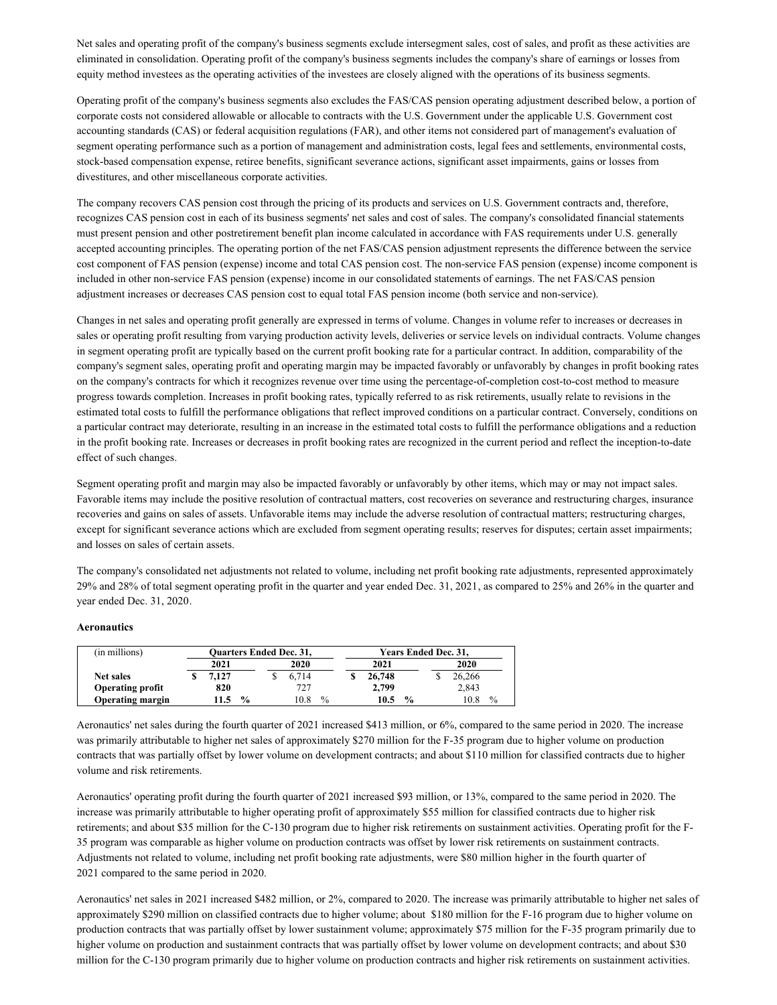Net sales and operating profit of the company's business segments exclude intersegment sales, cost of sales, and profit as these activities are eliminated in consolidation. Operating profit of the company's business segments includes the company's share of earnings or losses from equity method investees as the operating activities of the investees are closely aligned with the operations of its business segments.

Operating profit of the company's business segments also excludes the FAS/CAS pension operating adjustment described below, a portion of corporate costs not considered allowable or allocable to contracts with the U.S. Government under the applicable U.S. Government cost accounting standards (CAS) or federal acquisition regulations (FAR), and other items not considered part of management's evaluation of segment operating performance such as a portion of management and administration costs, legal fees and settlements, environmental costs, stock-based compensation expense, retiree benefits, significant severance actions, significant asset impairments, gains or losses from divestitures, and other miscellaneous corporate activities.

The company recovers CAS pension cost through the pricing of its products and services on U.S. Government contracts and, therefore, recognizes CAS pension cost in each of its business segments' net sales and cost of sales. The company's consolidated financial statements must present pension and other postretirement benefit plan income calculated in accordance with FAS requirements under U.S. generally accepted accounting principles. The operating portion of the net FAS/CAS pension adjustment represents the difference between the service cost component of FAS pension (expense) income and total CAS pension cost. The non-service FAS pension (expense) income component is included in other non-service FAS pension (expense) income in our consolidated statements of earnings. The net FAS/CAS pension adjustment increases or decreases CAS pension cost to equal total FAS pension income (both service and non-service).

Changes in net sales and operating profit generally are expressed in terms of volume. Changes in volume refer to increases or decreases in sales or operating profit resulting from varying production activity levels, deliveries or service levels on individual contracts. Volume changes in segment operating profit are typically based on the current profit booking rate for a particular contract. In addition, comparability of the company's segment sales, operating profit and operating margin may be impacted favorably or unfavorably by changes in profit booking rates on the company's contracts for which it recognizes revenue over time using the percentage-of-completion cost-to-cost method to measure progress towards completion. Increases in profit booking rates, typically referred to as risk retirements, usually relate to revisions in the estimated total costs to fulfill the performance obligations that reflect improved conditions on a particular contract. Conversely, conditions on a particular contract may deteriorate, resulting in an increase in the estimated total costs to fulfill the performance obligations and a reduction in the profit booking rate. Increases or decreases in profit booking rates are recognized in the current period and reflect the inception-to-date effect of such changes.

Segment operating profit and margin may also be impacted favorably or unfavorably by other items, which may or may not impact sales. Favorable items may include the positive resolution of contractual matters, cost recoveries on severance and restructuring charges, insurance recoveries and gains on sales of assets. Unfavorable items may include the adverse resolution of contractual matters; restructuring charges, except for significant severance actions which are excluded from segment operating results; reserves for disputes; certain asset impairments; and losses on sales of certain assets.

The company's consolidated net adjustments not related to volume, including net profit booking rate adjustments, represented approximately 29% and 28% of total segment operating profit in the quarter and year ended Dec. 31, 2021, as compared to 25% and 26% in the quarter and year ended Dec. 31, 2020.

### **Aeronautics**

| (in millions)           |       |               | <b>Ouarters Ended Dec. 31,</b> |               |        | Years Ended Dec. 31, |  |        |      |
|-------------------------|-------|---------------|--------------------------------|---------------|--------|----------------------|--|--------|------|
|                         | 2021  |               | 2020                           |               | 2021   |                      |  | 2020   |      |
| Net sales               | 7.127 |               | 6.714                          |               | 26,748 |                      |  | 26.266 |      |
| <b>Operating profit</b> | 820   |               | 727                            |               | 2.799  |                      |  | 2,843  |      |
| <b>Operating margin</b> | 11.5  | $\frac{0}{0}$ | 10.8                           | $\frac{0}{0}$ | 10.5   | $\frac{0}{0}$        |  | 10.8   | $\%$ |

Aeronautics' net sales during the fourth quarter of 2021 increased \$413 million, or 6%, compared to the same period in 2020. The increase was primarily attributable to higher net sales of approximately \$270 million for the F-35 program due to higher volume on production contracts that was partially offset by lower volume on development contracts; and about \$110 million for classified contracts due to higher volume and risk retirements.

Aeronautics' operating profit during the fourth quarter of 2021 increased \$93 million, or 13%, compared to the same period in 2020. The increase was primarily attributable to higher operating profit of approximately \$55 million for classified contracts due to higher risk retirements; and about \$35 million for the C-130 program due to higher risk retirements on sustainment activities. Operating profit for the F-35 program was comparable as higher volume on production contracts was offset by lower risk retirements on sustainment contracts. Adjustments not related to volume, including net profit booking rate adjustments, were \$80 million higher in the fourth quarter of 2021 compared to the same period in 2020.

Aeronautics' net sales in 2021 increased \$482 million, or 2%, compared to 2020. The increase was primarily attributable to higher net sales of approximately \$290 million on classified contracts due to higher volume; about \$180 million for the F-16 program due to higher volume on production contracts that was partially offset by lower sustainment volume; approximately \$75 million for the F-35 program primarily due to higher volume on production and sustainment contracts that was partially offset by lower volume on development contracts; and about \$30 million for the C-130 program primarily due to higher volume on production contracts and higher risk retirements on sustainment activities.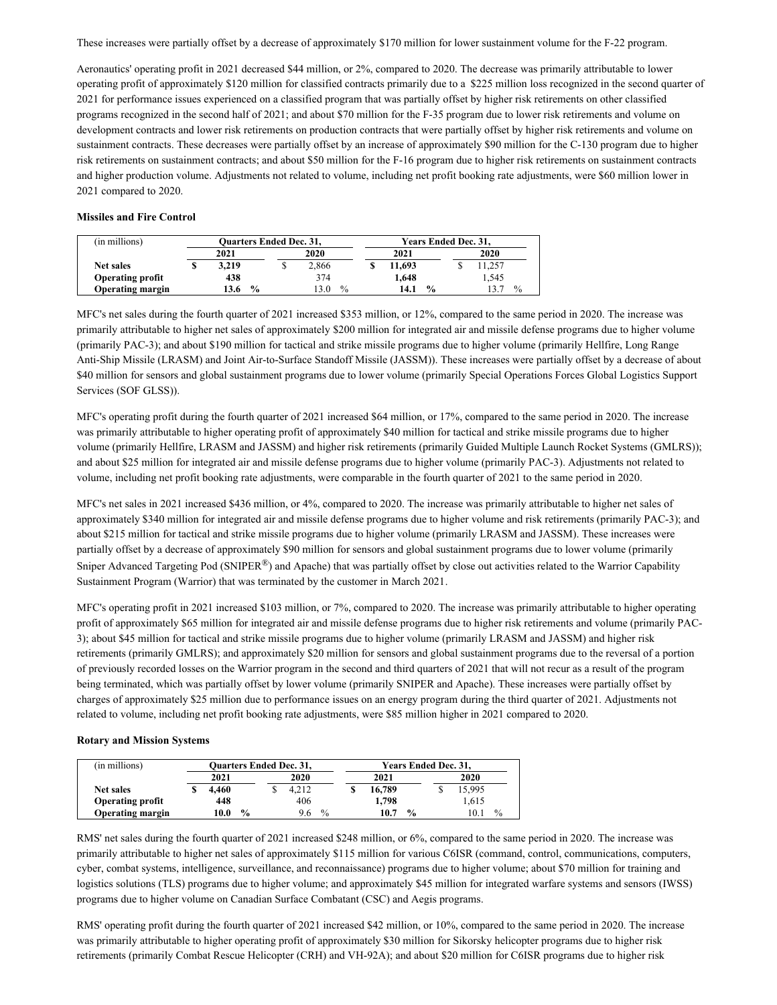These increases were partially offset by a decrease of approximately \$170 million for lower sustainment volume for the F-22 program.

Aeronautics' operating profit in 2021 decreased \$44 million, or 2%, compared to 2020. The decrease was primarily attributable to lower operating profit of approximately \$120 million for classified contracts primarily due to a \$225 million loss recognized in the second quarter of 2021 for performance issues experienced on a classified program that was partially offset by higher risk retirements on other classified programs recognized in the second half of 2021; and about \$70 million for the F-35 program due to lower risk retirements and volume on development contracts and lower risk retirements on production contracts that were partially offset by higher risk retirements and volume on sustainment contracts. These decreases were partially offset by an increase of approximately \$90 million for the C-130 program due to higher risk retirements on sustainment contracts; and about \$50 million for the F-16 program due to higher risk retirements on sustainment contracts and higher production volume. Adjustments not related to volume, including net profit booking rate adjustments, were \$60 million lower in 2021 compared to 2020.

#### **Missiles and Fire Control**

| (in millions)           |       |               | <b>Ouarters Ended Dec. 31,</b> |       |               |  | <b>Years Ended Dec. 31.</b> |               |  |                |      |
|-------------------------|-------|---------------|--------------------------------|-------|---------------|--|-----------------------------|---------------|--|----------------|------|
|                         | 2021  |               |                                | 2020  |               |  | 2021                        |               |  | 2020           |      |
| Net sales               | 3.219 |               |                                | 2.866 |               |  | 11.693                      |               |  | 1.257          |      |
| <b>Operating profit</b> | 438   |               |                                | 374   |               |  | 1.648                       |               |  | . 545          |      |
| Operating margin        | 3.6   | $\frac{0}{0}$ |                                | 13.0  | $\frac{0}{0}$ |  | 14.1                        | $\frac{0}{0}$ |  | $\mathbf{3}$ . | $\%$ |

MFC's net sales during the fourth quarter of 2021 increased \$353 million, or 12%, compared to the same period in 2020. The increase was primarily attributable to higher net sales of approximately \$200 million for integrated air and missile defense programs due to higher volume (primarily PAC-3); and about \$190 million for tactical and strike missile programs due to higher volume (primarily Hellfire, Long Range Anti-Ship Missile (LRASM) and Joint Air-to-Surface Standoff Missile (JASSM)). These increases were partially offset by a decrease of about \$40 million for sensors and global sustainment programs due to lower volume (primarily Special Operations Forces Global Logistics Support Services (SOF GLSS)).

MFC's operating profit during the fourth quarter of 2021 increased \$64 million, or 17%, compared to the same period in 2020. The increase was primarily attributable to higher operating profit of approximately \$40 million for tactical and strike missile programs due to higher volume (primarily Hellfire, LRASM and JASSM) and higher risk retirements (primarily Guided Multiple Launch Rocket Systems (GMLRS)); and about \$25 million for integrated air and missile defense programs due to higher volume (primarily PAC-3). Adjustments not related to volume, including net profit booking rate adjustments, were comparable in the fourth quarter of 2021 to the same period in 2020.

MFC's net sales in 2021 increased \$436 million, or 4%, compared to 2020. The increase was primarily attributable to higher net sales of approximately \$340 million for integrated air and missile defense programs due to higher volume and risk retirements (primarily PAC-3); and about \$215 million for tactical and strike missile programs due to higher volume (primarily LRASM and JASSM). These increases were partially offset by a decrease of approximately \$90 million for sensors and global sustainment programs due to lower volume (primarily Sniper Advanced Targeting Pod (SNIPER $^{\circledR}$ ) and Apache) that was partially offset by close out activities related to the Warrior Capability Sustainment Program (Warrior) that was terminated by the customer in March 2021.

MFC's operating profit in 2021 increased \$103 million, or 7%, compared to 2020. The increase was primarily attributable to higher operating profit of approximately \$65 million for integrated air and missile defense programs due to higher risk retirements and volume (primarily PAC-3); about \$45 million for tactical and strike missile programs due to higher volume (primarily LRASM and JASSM) and higher risk retirements (primarily GMLRS); and approximately \$20 million for sensors and global sustainment programs due to the reversal of a portion of previously recorded losses on the Warrior program in the second and third quarters of 2021 that will not recur as a result of the program being terminated, which was partially offset by lower volume (primarily SNIPER and Apache). These increases were partially offset by charges of approximately \$25 million due to performance issues on an energy program during the third quarter of 2021. Adjustments not related to volume, including net profit booking rate adjustments, were \$85 million higher in 2021 compared to 2020.

#### **Rotary and Mission Systems**

| (in millions)           |       |               | <b>Ouarters Ended Dec. 31,</b> |      |        | Years Ended Dec. 31, |        |      |
|-------------------------|-------|---------------|--------------------------------|------|--------|----------------------|--------|------|
|                         | 2021  |               | 2020                           |      | 2021   |                      | 2020   |      |
| <b>Net sales</b>        | 4.460 |               | 4.212                          |      | 16.789 |                      | 15.995 |      |
| <b>Operating profit</b> | 448   |               | 406                            |      | 1,798  |                      | 1,615  |      |
| <b>Operating margin</b> | 10.0  | $\frac{0}{0}$ | 9.6                            | $\%$ | 10.7   | $\frac{0}{0}$        |        | $\%$ |

RMS' net sales during the fourth quarter of 2021 increased \$248 million, or 6%, compared to the same period in 2020. The increase was primarily attributable to higher net sales of approximately \$115 million for various C6ISR (command, control, communications, computers, cyber, combat systems, intelligence, surveillance, and reconnaissance) programs due to higher volume; about \$70 million for training and logistics solutions (TLS) programs due to higher volume; and approximately \$45 million for integrated warfare systems and sensors (IWSS) programs due to higher volume on Canadian Surface Combatant (CSC) and Aegis programs.

RMS' operating profit during the fourth quarter of 2021 increased \$42 million, or 10%, compared to the same period in 2020. The increase was primarily attributable to higher operating profit of approximately \$30 million for Sikorsky helicopter programs due to higher risk retirements (primarily Combat Rescue Helicopter (CRH) and VH-92A); and about \$20 million for C6ISR programs due to higher risk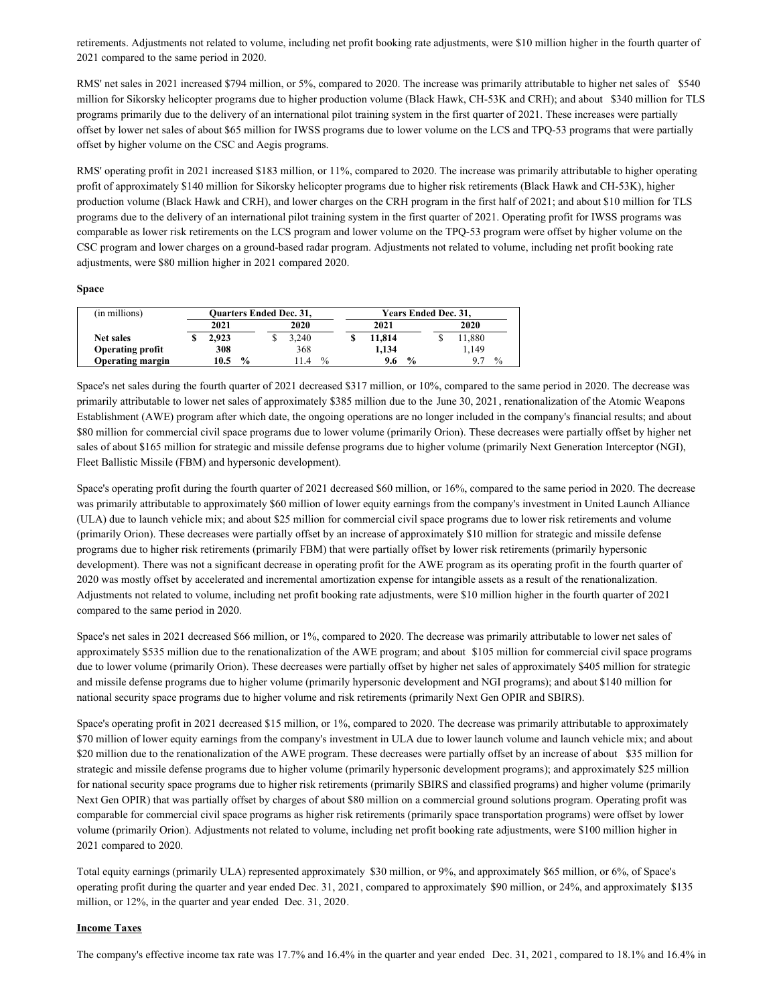retirements. Adjustments not related to volume, including net profit booking rate adjustments, were \$10 million higher in the fourth quarter of 2021 compared to the same period in 2020.

RMS' net sales in 2021 increased \$794 million, or 5%, compared to 2020. The increase was primarily attributable to higher net sales of \$540 million for Sikorsky helicopter programs due to higher production volume (Black Hawk, CH-53K and CRH); and about \$340 million for TLS programs primarily due to the delivery of an international pilot training system in the first quarter of 2021. These increases were partially offset by lower net sales of about \$65 million for IWSS programs due to lower volume on the LCS and TPQ-53 programs that were partially offset by higher volume on the CSC and Aegis programs.

RMS' operating profit in 2021 increased \$183 million, or 11%, compared to 2020. The increase was primarily attributable to higher operating profit of approximately \$140 million for Sikorsky helicopter programs due to higher risk retirements (Black Hawk and CH-53K), higher production volume (Black Hawk and CRH), and lower charges on the CRH program in the first half of 2021; and about \$10 million for TLS programs due to the delivery of an international pilot training system in the first quarter of 2021. Operating profit for IWSS programs was comparable as lower risk retirements on the LCS program and lower volume on the TPQ-53 program were offset by higher volume on the CSC program and lower charges on a ground-based radar program. Adjustments not related to volume, including net profit booking rate adjustments, were \$80 million higher in 2021 compared 2020.

#### **Space**

| (in millions)           |       |               | <b>Ouarters Ended Dec. 31,</b> |               |        | <b>Years Ended Dec. 31.</b> |        |      |
|-------------------------|-------|---------------|--------------------------------|---------------|--------|-----------------------------|--------|------|
|                         | 2021  |               | 2020                           |               | 2021   |                             | 2020   |      |
| <b>Net sales</b>        | 2.923 |               | 3.240                          |               | 11.814 |                             | 1,880  |      |
| <b>Operating profit</b> | 308   |               | 368                            |               | 1,134  |                             | . 149. |      |
| <b>Operating margin</b> | 10.5  | $\frac{0}{0}$ | 14                             | $\frac{0}{0}$ | 9.6    | $\frac{0}{0}$               |        | $\%$ |

Space's net sales during the fourth quarter of 2021 decreased \$317 million, or 10%, compared to the same period in 2020. The decrease was primarily attributable to lower net sales of approximately \$385 million due to the June 30, 2021, renationalization of the Atomic Weapons Establishment (AWE) program after which date, the ongoing operations are no longer included in the company's financial results; and about \$80 million for commercial civil space programs due to lower volume (primarily Orion). These decreases were partially offset by higher net sales of about \$165 million for strategic and missile defense programs due to higher volume (primarily Next Generation Interceptor (NGI), Fleet Ballistic Missile (FBM) and hypersonic development).

Space's operating profit during the fourth quarter of 2021 decreased \$60 million, or 16%, compared to the same period in 2020. The decrease was primarily attributable to approximately \$60 million of lower equity earnings from the company's investment in United Launch Alliance (ULA) due to launch vehicle mix; and about \$25 million for commercial civil space programs due to lower risk retirements and volume (primarily Orion). These decreases were partially offset by an increase of approximately \$10 million for strategic and missile defense programs due to higher risk retirements (primarily FBM) that were partially offset by lower risk retirements (primarily hypersonic development). There was not a significant decrease in operating profit for the AWE program as its operating profit in the fourth quarter of 2020 was mostly offset by accelerated and incremental amortization expense for intangible assets as a result of the renationalization. Adjustments not related to volume, including net profit booking rate adjustments, were \$10 million higher in the fourth quarter of 2021 compared to the same period in 2020.

Space's net sales in 2021 decreased \$66 million, or 1%, compared to 2020. The decrease was primarily attributable to lower net sales of approximately \$535 million due to the renationalization of the AWE program; and about \$105 million for commercial civil space programs due to lower volume (primarily Orion). These decreases were partially offset by higher net sales of approximately \$405 million for strategic and missile defense programs due to higher volume (primarily hypersonic development and NGI programs); and about \$140 million for national security space programs due to higher volume and risk retirements (primarily Next Gen OPIR and SBIRS).

Space's operating profit in 2021 decreased \$15 million, or 1%, compared to 2020. The decrease was primarily attributable to approximately \$70 million of lower equity earnings from the company's investment in ULA due to lower launch volume and launch vehicle mix; and about \$20 million due to the renationalization of the AWE program. These decreases were partially offset by an increase of about \$35 million for strategic and missile defense programs due to higher volume (primarily hypersonic development programs); and approximately \$25 million for national security space programs due to higher risk retirements (primarily SBIRS and classified programs) and higher volume (primarily Next Gen OPIR) that was partially offset by charges of about \$80 million on a commercial ground solutions program. Operating profit was comparable for commercial civil space programs as higher risk retirements (primarily space transportation programs) were offset by lower volume (primarily Orion). Adjustments not related to volume, including net profit booking rate adjustments, were \$100 million higher in 2021 compared to 2020.

Total equity earnings (primarily ULA) represented approximately \$30 million, or 9%, and approximately \$65 million, or 6%, of Space's operating profit during the quarter and year ended Dec. 31, 2021, compared to approximately \$90 million, or 24%, and approximately \$135 million, or 12%, in the quarter and year ended Dec. 31, 2020.

#### **Income Taxes**

The company's effective income tax rate was 17.7% and 16.4% in the quarter and year ended Dec. 31, 2021, compared to 18.1% and 16.4% in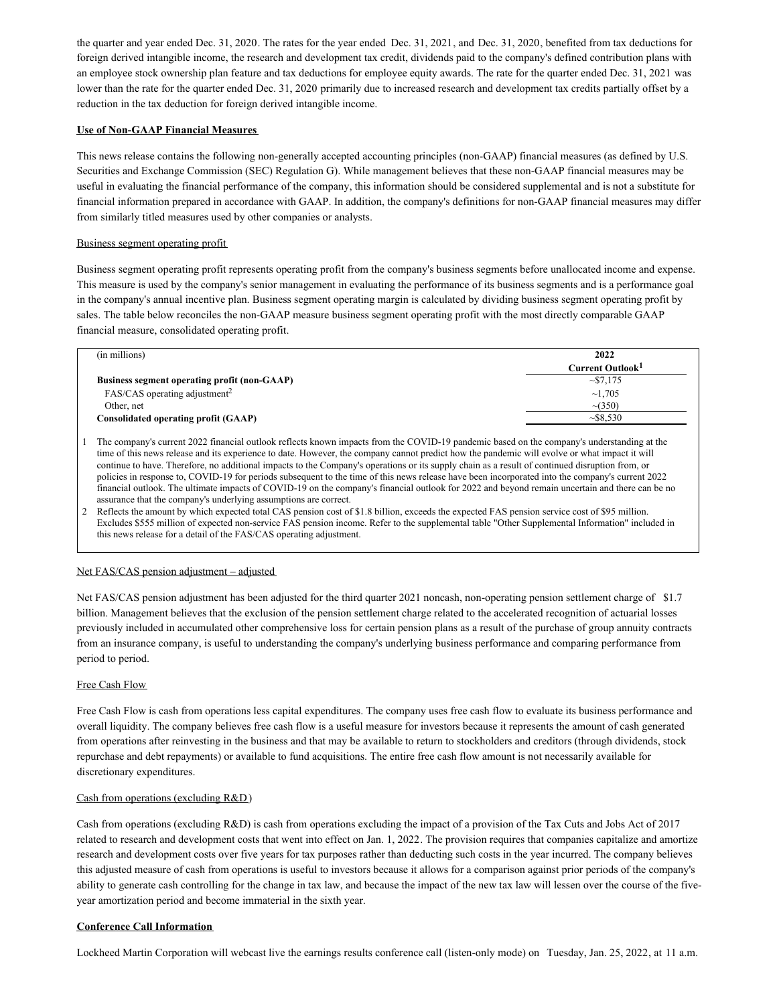the quarter and year ended Dec. 31, 2020. The rates for the year ended Dec. 31, 2021, and Dec. 31, 2020, benefited from tax deductions for foreign derived intangible income, the research and development tax credit, dividends paid to the company's defined contribution plans with an employee stock ownership plan feature and tax deductions for employee equity awards. The rate for the quarter ended Dec. 31, 2021 was lower than the rate for the quarter ended Dec. 31, 2020 primarily due to increased research and development tax credits partially offset by a reduction in the tax deduction for foreign derived intangible income.

### **Use of Non-GAAP Financial Measures**

This news release contains the following non-generally accepted accounting principles (non-GAAP) financial measures (as defined by U.S. Securities and Exchange Commission (SEC) Regulation G). While management believes that these non-GAAP financial measures may be useful in evaluating the financial performance of the company, this information should be considered supplemental and is not a substitute for financial information prepared in accordance with GAAP. In addition, the company's definitions for non-GAAP financial measures may differ from similarly titled measures used by other companies or analysts.

### Business segment operating profit

Business segment operating profit represents operating profit from the company's business segments before unallocated income and expense. This measure is used by the company's senior management in evaluating the performance of its business segments and is a performance goal in the company's annual incentive plan. Business segment operating margin is calculated by dividing business segment operating profit by sales. The table below reconciles the non-GAAP measure business segment operating profit with the most directly comparable GAAP financial measure, consolidated operating profit.

| (in millions)                                | 2022                         |
|----------------------------------------------|------------------------------|
|                                              | Current Outlook <sup>1</sup> |
| Business segment operating profit (non-GAAP) | $\sim 57.175$                |
| FAS/CAS operating adjustment <sup>2</sup>    | $\sim$ 1.705                 |
| Other, net                                   | $\sim$ (350)                 |
| Consolidated operating profit (GAAP)         | $\sim$ \$8.530               |

1 The company's current 2022 financial outlook reflects known impacts from the COVID-19 pandemic based on the company's understanding at the time of this news release and its experience to date. However, the company cannot predict how the pandemic will evolve or what impact it will continue to have. Therefore, no additional impacts to the Company's operations or its supply chain as a result of continued disruption from, or policies in response to, COVID-19 for periods subsequent to the time of this news release have been incorporated into the company's current 2022 financial outlook. The ultimate impacts of COVID-19 on the company's financial outlook for 2022 and beyond remain uncertain and there can be no assurance that the company's underlying assumptions are correct.

2 Reflects the amount by which expected total CAS pension cost of \$1.8 billion, exceeds the expected FAS pension service cost of \$95 million. Excludes \$555 million of expected non-service FAS pension income. Refer to the supplemental table "Other Supplemental Information" included in this news release for a detail of the FAS/CAS operating adjustment.

### Net FAS/CAS pension adjustment – adjusted

Net FAS/CAS pension adjustment has been adjusted for the third quarter 2021 noncash, non-operating pension settlement charge of \$1.7 billion. Management believes that the exclusion of the pension settlement charge related to the accelerated recognition of actuarial losses previously included in accumulated other comprehensive loss for certain pension plans as a result of the purchase of group annuity contracts from an insurance company, is useful to understanding the company's underlying business performance and comparing performance from period to period.

#### Free Cash Flow

Free Cash Flow is cash from operations less capital expenditures. The company uses free cash flow to evaluate its business performance and overall liquidity. The company believes free cash flow is a useful measure for investors because it represents the amount of cash generated from operations after reinvesting in the business and that may be available to return to stockholders and creditors (through dividends, stock repurchase and debt repayments) or available to fund acquisitions. The entire free cash flow amount is not necessarily available for discretionary expenditures.

#### Cash from operations (excluding R&D)

Cash from operations (excluding R&D) is cash from operations excluding the impact of a provision of the Tax Cuts and Jobs Act of 2017 related to research and development costs that went into effect on Jan. 1, 2022. The provision requires that companies capitalize and amortize research and development costs over five years for tax purposes rather than deducting such costs in the year incurred. The company believes this adjusted measure of cash from operations is useful to investors because it allows for a comparison against prior periods of the company's ability to generate cash controlling for the change in tax law, and because the impact of the new tax law will lessen over the course of the fiveyear amortization period and become immaterial in the sixth year.

### **Conference Call Information**

Lockheed Martin Corporation will webcast live the earnings results conference call (listen-only mode) on Tuesday, Jan. 25, 2022, at 11 a.m.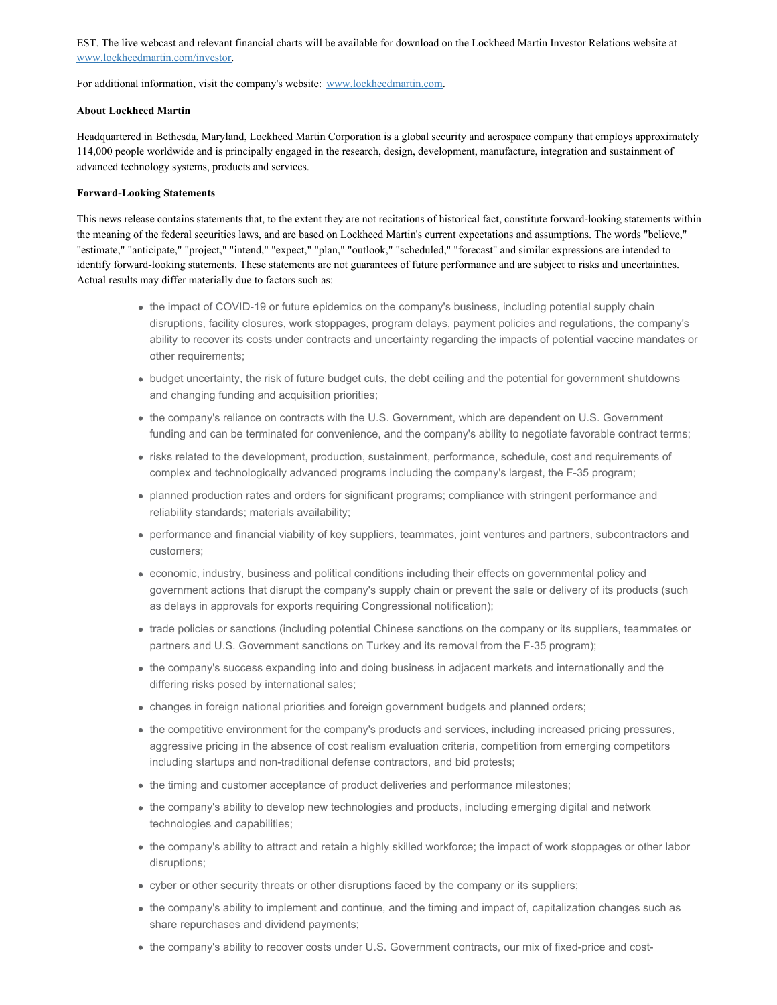EST. The live webcast and relevant financial charts will be available for download on the Lockheed Martin Investor Relations website at [www.lockheedmartin.com/investor](https://c212.net/c/link/?t=0&l=en&o=3421546-1&h=2803368951&u=http%3A%2F%2Fwww.lockheedmartin.com%2Finvestor&a=www.lockheedmartin.com%2Finvestor).

For additional information, visit the company's website: [www.lockheedmartin.com](https://c212.net/c/link/?t=0&l=en&o=3421546-1&h=4185114746&u=http%3A%2F%2Fwww.lockheedmartin.com%2F&a=www.lockheedmartin.com).

### **About Lockheed Martin**

Headquartered in Bethesda, Maryland, Lockheed Martin Corporation is a global security and aerospace company that employs approximately 114,000 people worldwide and is principally engaged in the research, design, development, manufacture, integration and sustainment of advanced technology systems, products and services.

### **Forward-Looking Statements**

This news release contains statements that, to the extent they are not recitations of historical fact, constitute forward-looking statements within the meaning of the federal securities laws, and are based on Lockheed Martin's current expectations and assumptions. The words "believe," "estimate," "anticipate," "project," "intend," "expect," "plan," "outlook," "scheduled," "forecast" and similar expressions are intended to identify forward-looking statements. These statements are not guarantees of future performance and are subject to risks and uncertainties. Actual results may differ materially due to factors such as:

- the impact of COVID-19 or future epidemics on the company's business, including potential supply chain disruptions, facility closures, work stoppages, program delays, payment policies and regulations, the company's ability to recover its costs under contracts and uncertainty regarding the impacts of potential vaccine mandates or other requirements;
- budget uncertainty, the risk of future budget cuts, the debt ceiling and the potential for government shutdowns and changing funding and acquisition priorities;
- the company's reliance on contracts with the U.S. Government, which are dependent on U.S. Government funding and can be terminated for convenience, and the company's ability to negotiate favorable contract terms;
- risks related to the development, production, sustainment, performance, schedule, cost and requirements of complex and technologically advanced programs including the company's largest, the F-35 program;
- planned production rates and orders for significant programs; compliance with stringent performance and reliability standards; materials availability;
- performance and financial viability of key suppliers, teammates, joint ventures and partners, subcontractors and customers;
- economic, industry, business and political conditions including their effects on governmental policy and government actions that disrupt the company's supply chain or prevent the sale or delivery of its products (such as delays in approvals for exports requiring Congressional notification);
- trade policies or sanctions (including potential Chinese sanctions on the company or its suppliers, teammates or partners and U.S. Government sanctions on Turkey and its removal from the F-35 program);
- the company's success expanding into and doing business in adjacent markets and internationally and the differing risks posed by international sales;
- changes in foreign national priorities and foreign government budgets and planned orders;
- the competitive environment for the company's products and services, including increased pricing pressures, aggressive pricing in the absence of cost realism evaluation criteria, competition from emerging competitors including startups and non-traditional defense contractors, and bid protests;
- the timing and customer acceptance of product deliveries and performance milestones;
- the company's ability to develop new technologies and products, including emerging digital and network technologies and capabilities;
- the company's ability to attract and retain a highly skilled workforce; the impact of work stoppages or other labor disruptions;
- cyber or other security threats or other disruptions faced by the company or its suppliers;
- the company's ability to implement and continue, and the timing and impact of, capitalization changes such as share repurchases and dividend payments;
- the company's ability to recover costs under U.S. Government contracts, our mix of fixed-price and cost-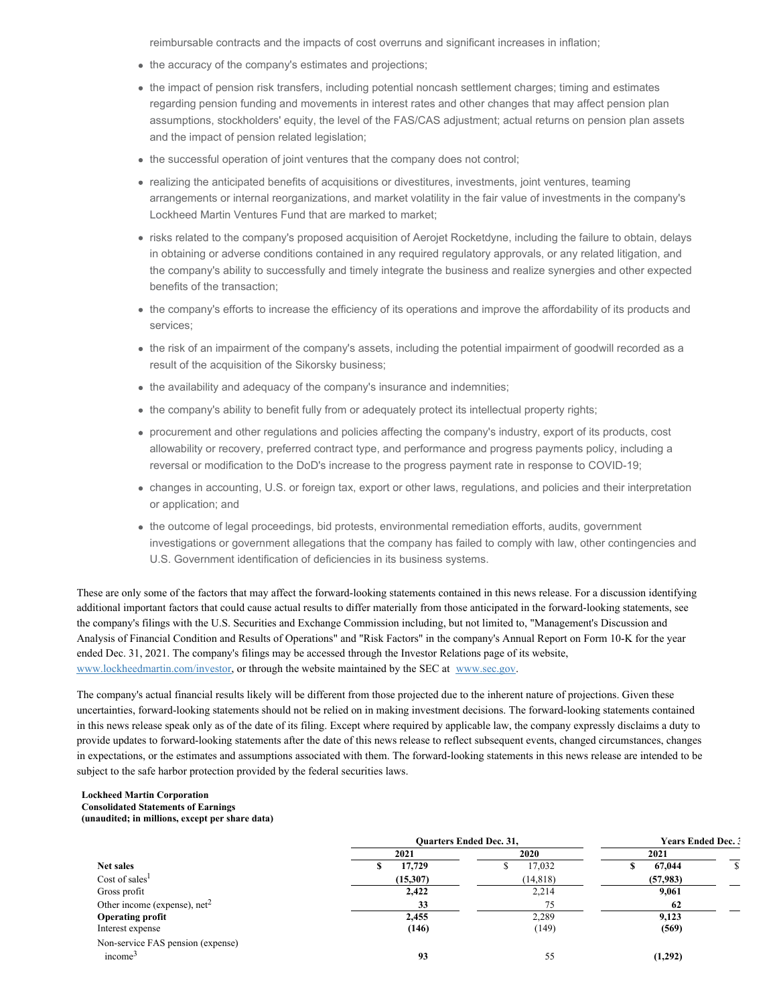reimbursable contracts and the impacts of cost overruns and significant increases in inflation;

- the accuracy of the company's estimates and projections;
- the impact of pension risk transfers, including potential noncash settlement charges; timing and estimates regarding pension funding and movements in interest rates and other changes that may affect pension plan assumptions, stockholders' equity, the level of the FAS/CAS adjustment; actual returns on pension plan assets and the impact of pension related legislation;
- the successful operation of joint ventures that the company does not control;
- realizing the anticipated benefits of acquisitions or divestitures, investments, joint ventures, teaming arrangements or internal reorganizations, and market volatility in the fair value of investments in the company's Lockheed Martin Ventures Fund that are marked to market;
- risks related to the company's proposed acquisition of Aerojet Rocketdyne, including the failure to obtain, delays in obtaining or adverse conditions contained in any required regulatory approvals, or any related litigation, and the company's ability to successfully and timely integrate the business and realize synergies and other expected benefits of the transaction;
- the company's efforts to increase the efficiency of its operations and improve the affordability of its products and services;
- the risk of an impairment of the company's assets, including the potential impairment of goodwill recorded as a result of the acquisition of the Sikorsky business;
- the availability and adequacy of the company's insurance and indemnities;
- the company's ability to benefit fully from or adequately protect its intellectual property rights;
- procurement and other regulations and policies affecting the company's industry, export of its products, cost allowability or recovery, preferred contract type, and performance and progress payments policy, including a reversal or modification to the DoD's increase to the progress payment rate in response to COVID-19;
- changes in accounting, U.S. or foreign tax, export or other laws, regulations, and policies and their interpretation or application; and
- the outcome of legal proceedings, bid protests, environmental remediation efforts, audits, government investigations or government allegations that the company has failed to comply with law, other contingencies and U.S. Government identification of deficiencies in its business systems.

These are only some of the factors that may affect the forward-looking statements contained in this news release. For a discussion identifying additional important factors that could cause actual results to differ materially from those anticipated in the forward-looking statements, see the company's filings with the U.S. Securities and Exchange Commission including, but not limited to, "Management's Discussion and Analysis of Financial Condition and Results of Operations" and "Risk Factors" in the company's Annual Report on Form 10-K for the year ended Dec. 31, 2021. The company's filings may be accessed through the Investor Relations page of its website, [www.lockheedmartin.com/investor](https://c212.net/c/link/?t=0&l=en&o=3421546-1&h=2803368951&u=http%3A%2F%2Fwww.lockheedmartin.com%2Finvestor&a=www.lockheedmartin.com%2Finvestor), or through the website maintained by the SEC at [www.sec.gov.](https://c212.net/c/link/?t=0&l=en&o=3421546-1&h=4126851818&u=http%3A%2F%2Fwww.sec.gov%2F&a=www.sec.gov)

The company's actual financial results likely will be different from those projected due to the inherent nature of projections. Given these uncertainties, forward-looking statements should not be relied on in making investment decisions. The forward-looking statements contained in this news release speak only as of the date of its filing. Except where required by applicable law, the company expressly disclaims a duty to provide updates to forward-looking statements after the date of this news release to reflect subsequent events, changed circumstances, changes in expectations, or the estimates and assumptions associated with them. The forward-looking statements in this news release are intended to be subject to the safe harbor protection provided by the federal securities laws.

#### **Lockheed Martin Corporation Consolidated Statements of Earnings (unaudited; in millions, except per share data)**

|                                   |                | <b>Ouarters Ended Dec. 31,</b> | <b>Years Ended Dec. 3</b> |  |  |
|-----------------------------------|----------------|--------------------------------|---------------------------|--|--|
|                                   | 2021           | 2020                           | 2021                      |  |  |
| Net sales                         | 17,729<br>- 30 | 17,032<br>۰٦                   | 67,044                    |  |  |
| Cost of sales <sup>1</sup>        | (15,307)       | (14, 818)                      | (57, 983)                 |  |  |
| Gross profit                      | 2,422          | 2,214                          | 9,061                     |  |  |
| Other income (expense), $net2$    | 33             | 75                             | 62                        |  |  |
| <b>Operating profit</b>           | 2,455          | 2,289                          | 9,123                     |  |  |
| Interest expense                  | (146)          | (149)                          | (569)                     |  |  |
| Non-service FAS pension (expense) |                |                                |                           |  |  |
| income <sup>3</sup>               | 93             | 55                             | (1,292)                   |  |  |
|                                   |                |                                |                           |  |  |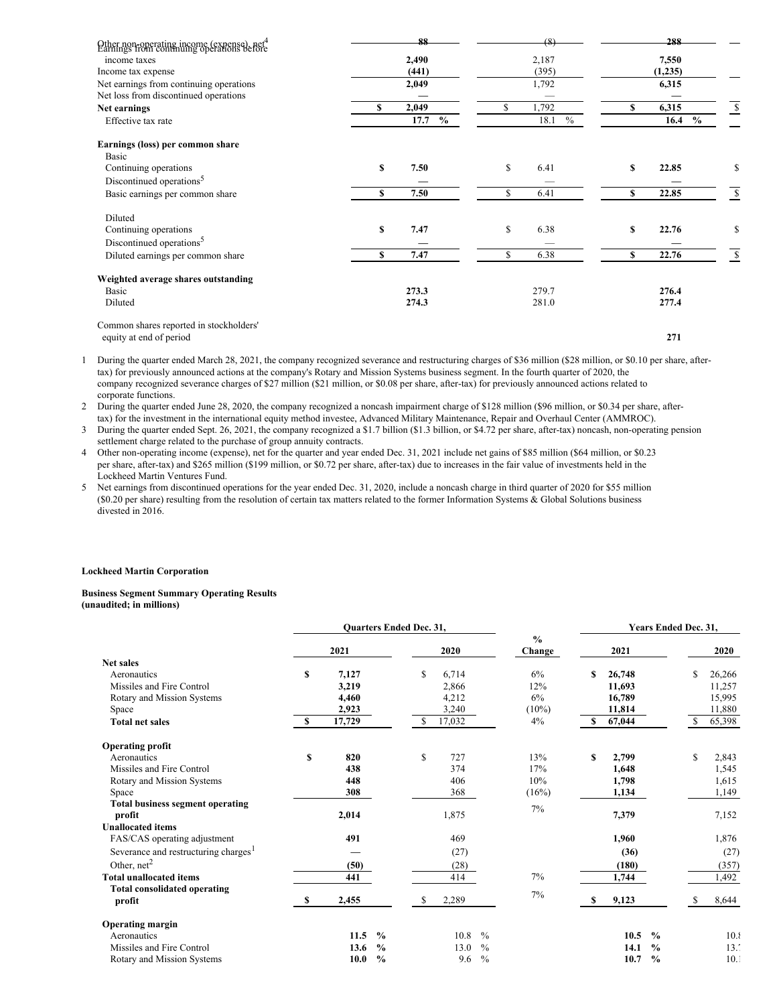| Other non-operating income (expense), net <sup>4</sup><br>Earnings from continuing operations before |    | 88           |    | (8)          |   | 288                   |    |
|------------------------------------------------------------------------------------------------------|----|--------------|----|--------------|---|-----------------------|----|
| income taxes                                                                                         |    | 2,490        |    | 2,187        |   | 7,550                 |    |
| Income tax expense                                                                                   |    | (441)        |    | (395)        |   | (1,235)               |    |
| Net earnings from continuing operations                                                              |    | 2,049        |    | 1,792        |   | 6,315                 |    |
| Net loss from discontinued operations                                                                |    |              |    |              |   |                       |    |
| Net earnings                                                                                         | \$ | 2,049        | S  | 1,792        | S | 6,315                 | \$ |
| Effective tax rate                                                                                   |    | 17.7<br>$\%$ |    | $\%$<br>18.1 |   | $\frac{0}{0}$<br>16.4 |    |
| Earnings (loss) per common share                                                                     |    |              |    |              |   |                       |    |
| Basic                                                                                                |    |              |    |              |   |                       |    |
| Continuing operations                                                                                | S  | 7.50         | \$ | 6.41         | S | 22.85                 | \$ |
| Discontinued operations <sup>5</sup>                                                                 |    |              |    |              |   |                       |    |
| Basic earnings per common share                                                                      | S  | 7.50         | \$ | 6.41         | S | 22.85                 | \$ |
| Diluted                                                                                              |    |              |    |              |   |                       |    |
| Continuing operations                                                                                | S  | 7.47         | \$ | 6.38         | S | 22.76                 | \$ |
| Discontinued operations <sup>5</sup>                                                                 |    |              |    |              |   |                       |    |
| Diluted earnings per common share                                                                    | S  | 7.47         | \$ | 6.38         | S | 22.76                 | \$ |
| Weighted average shares outstanding                                                                  |    |              |    |              |   |                       |    |
| Basic                                                                                                |    | 273.3        |    | 279.7        |   | 276.4                 |    |
| Diluted                                                                                              |    | 274.3        |    | 281.0        |   | 277.4                 |    |
| Common shares reported in stockholders'                                                              |    |              |    |              |   |                       |    |
| equity at end of period                                                                              |    |              |    |              |   | 271                   |    |

1 During the quarter ended March 28, 2021, the company recognized severance and restructuring charges of \$36 million (\$28 million, or \$0.10 per share, aftertax) for previously announced actions at the company's Rotary and Mission Systems business segment. In the fourth quarter of 2020, the company recognized severance charges of \$27 million (\$21 million, or \$0.08 per share, after-tax) for previously announced actions related to corporate functions.

2 During the quarter ended June 28, 2020, the company recognized a noncash impairment charge of \$128 million (\$96 million, or \$0.34 per share, aftertax) for the investment in the international equity method investee, Advanced Military Maintenance, Repair and Overhaul Center (AMMROC).

3 During the quarter ended Sept. 26, 2021, the company recognized a \$1.7 billion (\$1.3 billion, or \$4.72 per share, after-tax) noncash, non-operating pension settlement charge related to the purchase of group annuity contracts.

4 Other non-operating income (expense), net for the quarter and year ended Dec. 31, 2021 include net gains of \$85 million (\$64 million, or \$0.23 per share, after-tax) and \$265 million (\$199 million, or \$0.72 per share, after-tax) due to increases in the fair value of investments held in the Lockheed Martin Ventures Fund.

5 Net earnings from discontinued operations for the year ended Dec. 31, 2020, include a noncash charge in third quarter of 2020 for \$55 million (\$0.20 per share) resulting from the resolution of certain tax matters related to the former Information Systems & Global Solutions business divested in 2016.

#### **Lockheed Martin Corporation**

#### **Business Segment Summary Operating Results (unaudited; in millions)**

|                                                  | Quarters Ended Dec. 31, |        |               |    |        |                         |    |        | Years Ended Dec. 31, |               |        |
|--------------------------------------------------|-------------------------|--------|---------------|----|--------|-------------------------|----|--------|----------------------|---------------|--------|
|                                                  |                         | 2021   |               |    | 2020   | $\frac{0}{0}$<br>Change |    | 2021   |                      |               | 2020   |
| <b>Net sales</b>                                 |                         |        |               |    |        |                         |    |        |                      |               |        |
| Aeronautics                                      | \$                      | 7,127  |               | \$ | 6,714  | 6%                      | s  | 26,748 |                      | <sup>\$</sup> | 26,266 |
| Missiles and Fire Control                        |                         | 3,219  |               |    | 2,866  | 12%                     |    | 11,693 |                      |               | 11,257 |
| Rotary and Mission Systems                       |                         | 4,460  |               |    | 4,212  | 6%                      |    | 16,789 |                      |               | 15,995 |
| Space                                            |                         | 2,923  |               |    | 3,240  | $(10\%)$                |    | 11,814 |                      |               | 11,880 |
| <b>Total net sales</b>                           | \$.                     | 17,729 |               | \$ | 17,032 | 4%                      | S  | 67,044 |                      | S             | 65,398 |
| <b>Operating profit</b>                          |                         |        |               |    |        |                         |    |        |                      |               |        |
| Aeronautics                                      | \$                      | 820    |               | \$ | 727    | 13%                     | \$ | 2,799  |                      | \$            | 2,843  |
| Missiles and Fire Control                        |                         | 438    |               |    | 374    | 17%                     |    | 1,648  |                      |               | 1,545  |
| Rotary and Mission Systems                       |                         | 448    |               |    | 406    | 10%                     |    | 1,798  |                      |               | 1,615  |
| Space                                            |                         | 308    |               |    | 368    | (16%)                   |    | 1,134  |                      |               | 1,149  |
| <b>Total business segment operating</b>          |                         |        |               |    |        | 7%                      |    |        |                      |               |        |
| profit                                           |                         | 2,014  |               |    | 1,875  |                         |    | 7,379  |                      |               | 7,152  |
| <b>Unallocated items</b>                         |                         |        |               |    |        |                         |    |        |                      |               |        |
| FAS/CAS operating adjustment                     |                         | 491    |               |    | 469    |                         |    | 1,960  |                      |               | 1,876  |
| Severance and restructuring charges <sup>1</sup> |                         |        |               |    | (27)   |                         |    | (36)   |                      |               | (27)   |
| Other, $net2$                                    |                         | (50)   |               |    | (28)   |                         |    | (180)  |                      |               | (357)  |
| <b>Total unallocated items</b>                   |                         | 441    |               |    | 414    | 7%                      |    | 1,744  |                      |               | 1,492  |
| <b>Total consolidated operating</b>              |                         |        |               |    |        |                         |    |        |                      |               |        |
| profit                                           | -S                      | 2,455  |               | S  | 2,289  | 7%                      | S  | 9,123  |                      | \$.           | 8,644  |
| <b>Operating margin</b>                          |                         |        |               |    |        |                         |    |        |                      |               |        |
| Aeronautics                                      |                         | 11.5   | $\frac{0}{0}$ |    | 10.8   | $\frac{0}{0}$           |    | 10.5   | $\frac{0}{0}$        |               | 10.8   |
| Missiles and Fire Control                        |                         | 13.6   | $\frac{0}{0}$ |    | 13.0   | $\frac{0}{0}$           |    | 14.1   | $\frac{0}{0}$        |               | 13.7   |
| Rotary and Mission Systems                       |                         | 10.0   | $\frac{0}{0}$ |    | 9.6    | $\frac{0}{0}$           |    | 10.7   | $\frac{0}{0}$        |               | 10.1   |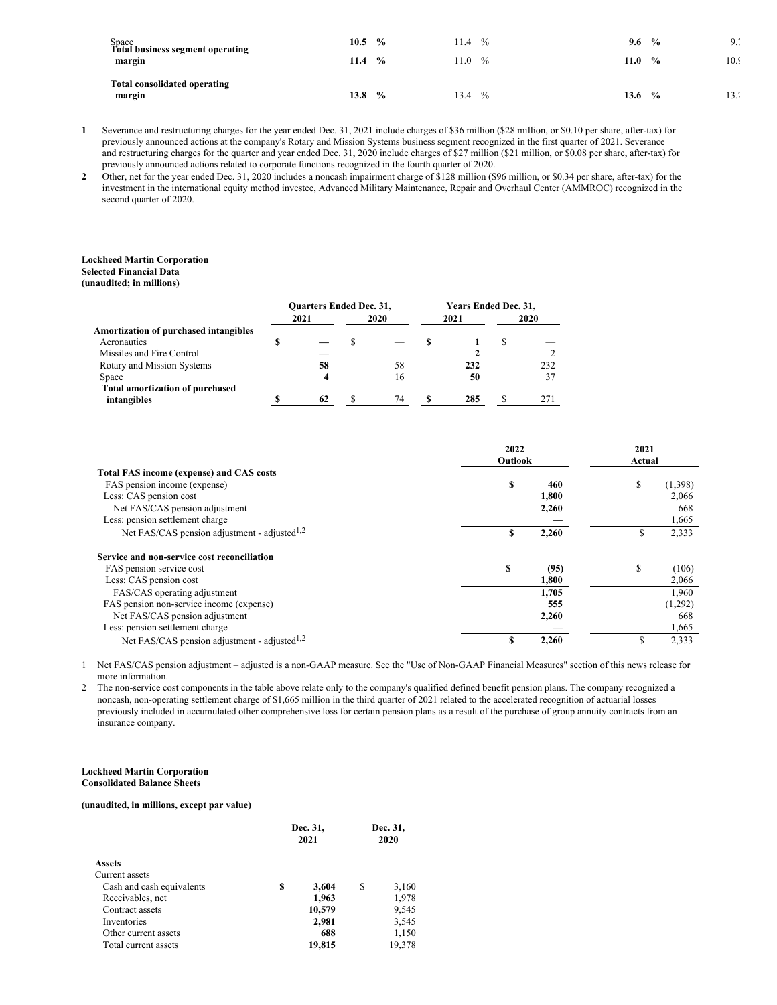| Space<br>Total business segment operating<br>margin | 10.5<br>11.4 | $\frac{0}{0}$<br>$\frac{0}{0}$ | 11.4<br>11.0 | $\frac{0}{0}$<br>$\frac{0}{0}$ | 9.6<br>11.0 | $\frac{0}{0}$<br>$\frac{0}{0}$ | $\Omega$ .<br><b>7.</b><br>10.9 |
|-----------------------------------------------------|--------------|--------------------------------|--------------|--------------------------------|-------------|--------------------------------|---------------------------------|
| <b>Total consolidated operating</b><br>margin       | 13.8         | $\frac{0}{0}$                  | 13.4         | $\%$                           | 13.6        | $\frac{6}{9}$                  | 13.2                            |

**1** Severance and restructuring charges for the year ended Dec. 31, 2021 include charges of \$36 million (\$28 million, or \$0.10 per share, after-tax) for previously announced actions at the company's Rotary and Mission Systems business segment recognized in the first quarter of 2021. Severance and restructuring charges for the quarter and year ended Dec. 31, 2020 include charges of \$27 million (\$21 million, or \$0.08 per share, after-tax) for previously announced actions related to corporate functions recognized in the fourth quarter of 2020.

**2** Other, net for the year ended Dec. 31, 2020 includes a noncash impairment charge of \$128 million (\$96 million, or \$0.34 per share, after-tax) for the investment in the international equity method investee, Advanced Military Maintenance, Repair and Overhaul Center (AMMROC) recognized in the second quarter of 2020.

### **Lockheed Martin Corporation**

# **Selected Financial Data**

|                                        | <b>Ouarters Ended Dec. 31,</b> |      |  | Years Ended Dec. 31, |      |  |      |
|----------------------------------------|--------------------------------|------|--|----------------------|------|--|------|
|                                        |                                | 2021 |  | 2020                 | 2021 |  | 2020 |
| Amortization of purchased intangibles  |                                |      |  |                      |      |  |      |
| Aeronautics                            |                                |      |  |                      |      |  |      |
| Missiles and Fire Control              |                                |      |  |                      |      |  |      |
| Rotary and Mission Systems             |                                | 58   |  | 58                   | 232  |  | 232  |
| Space                                  |                                |      |  | 16                   | 50   |  | 37   |
| <b>Total amortization of purchased</b> |                                |      |  |                      |      |  |      |
| intangibles                            |                                | 62   |  | 74                   | 285  |  | 271  |
|                                        |                                |      |  |                      |      |  |      |

|                                                          | 2022<br>Outlook |       | 2021<br>Actual |         |
|----------------------------------------------------------|-----------------|-------|----------------|---------|
| <b>Total FAS income (expense) and CAS costs</b>          |                 |       |                |         |
| FAS pension income (expense)                             | \$              | 460   | S              | (1,398) |
| Less: CAS pension cost                                   |                 | 1,800 |                | 2,066   |
| Net FAS/CAS pension adjustment                           |                 | 2,260 |                | 668     |
| Less: pension settlement charge                          |                 |       |                | 1,665   |
| Net FAS/CAS pension adjustment - adjusted <sup>1,2</sup> | S               | 2,260 | S              | 2,333   |
| Service and non-service cost reconciliation              |                 |       |                |         |
| FAS pension service cost                                 | \$              | (95)  | S              | (106)   |
| Less: CAS pension cost                                   |                 | 1,800 |                | 2,066   |
| FAS/CAS operating adjustment                             |                 | 1,705 |                | 1,960   |
| FAS pension non-service income (expense)                 |                 | 555   |                | (1,292) |
| Net FAS/CAS pension adjustment                           |                 | 2,260 |                | 668     |
| Less: pension settlement charge                          |                 |       |                | 1,665   |
| Net FAS/CAS pension adjustment - adjusted <sup>1,2</sup> | \$              | 2,260 | S              | 2,333   |

1 Net FAS/CAS pension adjustment – adjusted is a non-GAAP measure. See the "Use of Non-GAAP Financial Measures" section of this news release for more information.

2 The non-service cost components in the table above relate only to the company's qualified defined benefit pension plans. The company recognized a noncash, non-operating settlement charge of \$1,665 million in the third quarter of 2021 related to the accelerated recognition of actuarial losses previously included in accumulated other comprehensive loss for certain pension plans as a result of the purchase of group annuity contracts from an insurance company.

#### **Lockheed Martin Corporation Consolidated Balance Sheets**

#### **(unaudited, in millions, except par value)**

|                           |   | Dec. 31,<br>2021 | Dec. 31,<br>2020 |        |  |
|---------------------------|---|------------------|------------------|--------|--|
| <b>Assets</b>             |   |                  |                  |        |  |
| Current assets            |   |                  |                  |        |  |
| Cash and cash equivalents | S | 3,604            | S                | 3,160  |  |
| Receivables, net          |   | 1,963            |                  | 1,978  |  |
| Contract assets           |   | 10,579           |                  | 9,545  |  |
| Inventories               |   | 2,981            |                  | 3,545  |  |
| Other current assets      |   | 688              |                  | 1,150  |  |
| Total current assets      |   | 19.815           |                  | 19.378 |  |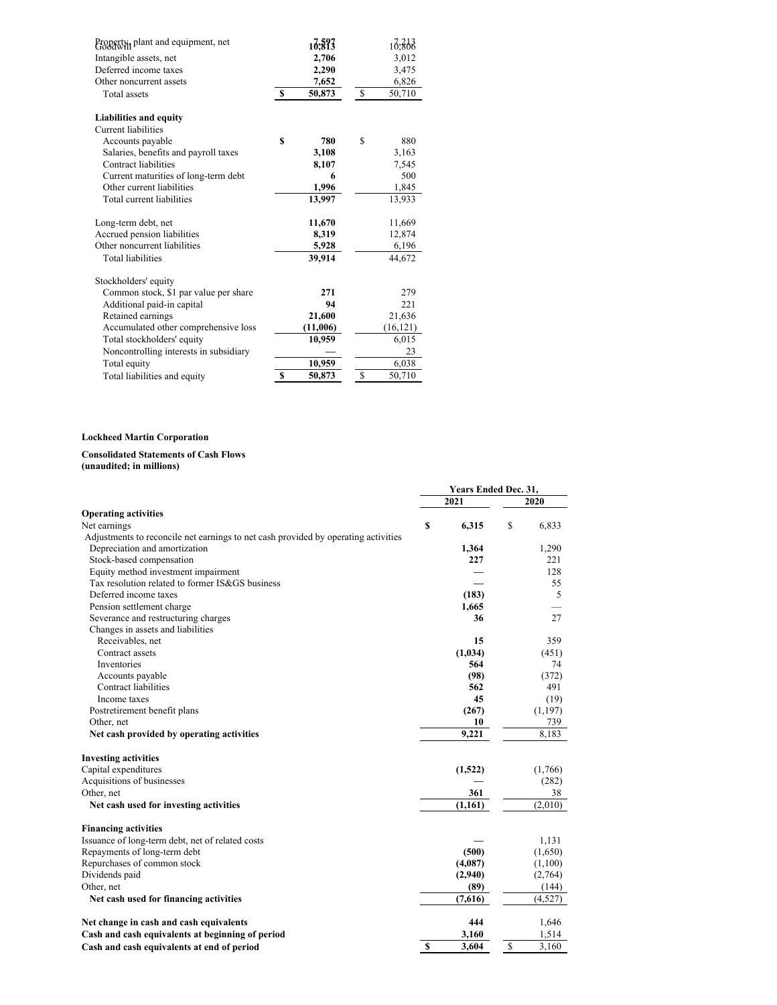| Property, plant and equipment, net     |      | 17,593   |              | 10,308    |
|----------------------------------------|------|----------|--------------|-----------|
| Intangible assets, net                 |      | 2,706    |              | 3,012     |
| Deferred income taxes                  |      | 2,290    |              | 3,475     |
| Other noncurrent assets                |      | 7,652    |              | 6,826     |
| <b>Total assets</b>                    | - \$ | 50,873   | <sup>S</sup> | 50,710    |
| Liabilities and equity                 |      |          |              |           |
| Current liabilities                    |      |          |              |           |
| Accounts payable                       | S    | 780      | S            | 880       |
| Salaries, benefits and payroll taxes   |      | 3,108    |              | 3,163     |
| Contract liabilities                   |      | 8,107    |              | 7,545     |
| Current maturities of long-term debt   |      | 6        |              | 500       |
| Other current liabilities              |      | 1,996    |              | 1,845     |
| Total current liabilities              |      | 13,997   |              | 13,933    |
| Long-term debt, net                    |      | 11,670   |              | 11,669    |
| Accrued pension liabilities            |      | 8,319    |              | 12,874    |
| Other noncurrent liabilities           |      | 5,928    |              | 6,196     |
| <b>Total liabilities</b>               |      | 39,914   |              | 44,672    |
| Stockholders' equity                   |      |          |              |           |
| Common stock, \$1 par value per share  |      | 271      |              | 279       |
| Additional paid-in capital             |      | 94       |              | 221       |
| Retained earnings                      |      | 21,600   |              | 21,636    |
| Accumulated other comprehensive loss   |      | (11,006) |              | (16, 121) |
| Total stockholders' equity             |      | 10,959   |              | 6,015     |
| Noncontrolling interests in subsidiary |      |          |              | 23        |
| Total equity                           |      | 10,959   |              | 6,038     |
| Total liabilities and equity           | S    | 50,873   | \$           | 50,710    |

### **Lockheed Martin Corporation**

#### **Consolidated Statements of Cash Flows (unaudited; in millions)**

|                                                                                    | Years Ended Dec. 31, |         |              |             |
|------------------------------------------------------------------------------------|----------------------|---------|--------------|-------------|
|                                                                                    |                      | 2021    |              | <b>2020</b> |
| <b>Operating activities</b>                                                        |                      |         |              |             |
| Net earnings                                                                       | S                    | 6.315   | S            | 6,833       |
| Adjustments to reconcile net earnings to net cash provided by operating activities |                      |         |              |             |
| Depreciation and amortization                                                      |                      | 1,364   |              | 1,290       |
| Stock-based compensation                                                           |                      | 227     |              | 221         |
| Equity method investment impairment                                                |                      |         |              | 128         |
| Tax resolution related to former IS&GS business                                    |                      |         |              | 55          |
| Deferred income taxes                                                              |                      | (183)   |              | 5           |
| Pension settlement charge                                                          |                      | 1,665   |              |             |
| Severance and restructuring charges                                                |                      | 36      |              | 27          |
| Changes in assets and liabilities                                                  |                      |         |              |             |
| Receivables, net                                                                   |                      | 15      |              | 359         |
| Contract assets                                                                    |                      | (1,034) |              | (451)       |
| Inventories                                                                        |                      | 564     |              | 74          |
| Accounts payable                                                                   |                      | (98)    |              | (372)       |
| Contract liabilities                                                               |                      | 562     |              | 491         |
| Income taxes                                                                       |                      | 45      |              | (19)        |
| Postretirement benefit plans                                                       |                      | (267)   |              | (1,197)     |
| Other, net                                                                         |                      | 10      |              | 739         |
| Net cash provided by operating activities                                          |                      | 9,221   |              | 8,183       |
| <b>Investing activities</b>                                                        |                      |         |              |             |
| Capital expenditures                                                               |                      | (1,522) |              | (1,766)     |
| Acquisitions of businesses                                                         |                      |         |              | (282)       |
| Other, net                                                                         |                      | 361     |              | 38          |
| Net cash used for investing activities                                             |                      | (1,161) |              | (2,010)     |
| <b>Financing activities</b>                                                        |                      |         |              |             |
| Issuance of long-term debt, net of related costs                                   |                      |         |              | 1,131       |
| Repayments of long-term debt                                                       |                      | (500)   |              | (1,650)     |
| Repurchases of common stock                                                        |                      | (4,087) |              | (1,100)     |
| Dividends paid                                                                     |                      | (2,940) |              | (2,764)     |
| Other, net                                                                         |                      | (89)    |              | (144)       |
| Net cash used for financing activities                                             |                      | (7,616) |              | (4,527)     |
| Net change in cash and cash equivalents                                            |                      | 444     |              | 1,646       |
| Cash and cash equivalents at beginning of period                                   |                      | 3,160   |              | 1,514       |
| Cash and cash equivalents at end of period                                         | $\mathbf{s}$         | 3,604   | $\mathbb{S}$ | 3,160       |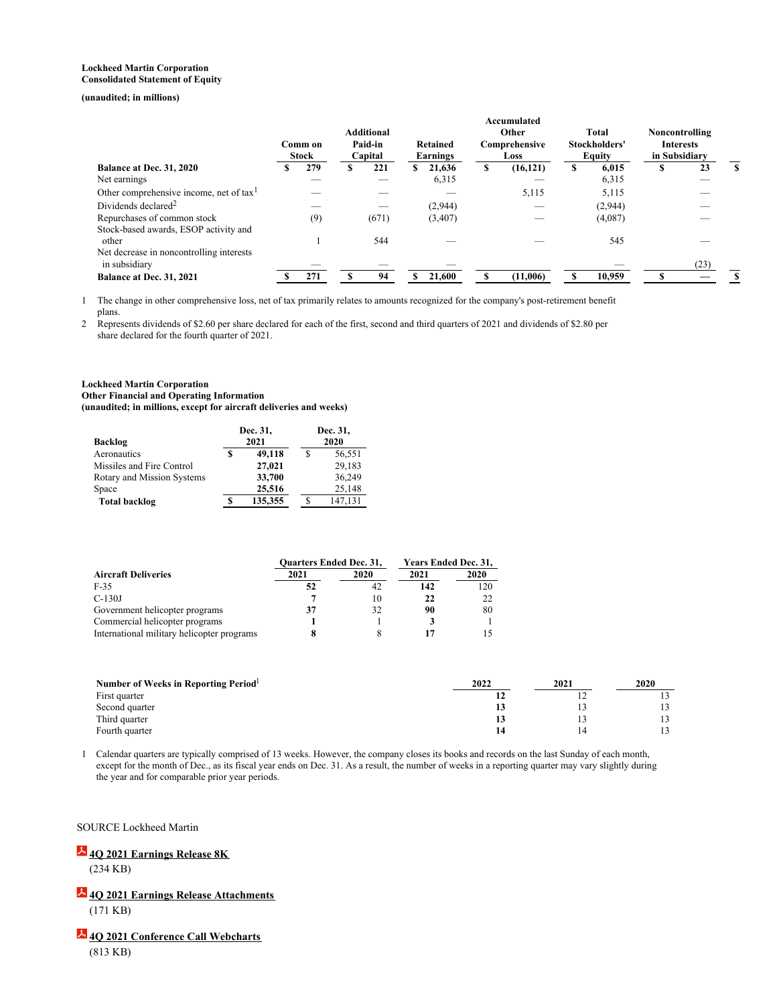#### **Lockheed Martin Corporation Consolidated Statement of Equity**

### **(unaudited; in millions)**

|   |     | <b>Additional</b><br>Paid-in<br>Comm on<br><b>Stock</b><br>Capital |       |   |         | Accumulated<br>Other<br>Comprehensive<br>Loss |           |   | <b>Total</b><br>Stockholders'<br>Equity |  |      |                                                     |
|---|-----|--------------------------------------------------------------------|-------|---|---------|-----------------------------------------------|-----------|---|-----------------------------------------|--|------|-----------------------------------------------------|
| S | 279 | S                                                                  | 221   | S | 21.636  | \$                                            | (16, 121) | S | 6.015                                   |  | 23   | S                                                   |
|   |     |                                                                    |       |   | 6,315   |                                               | _         |   | 6,315                                   |  |      |                                                     |
|   |     |                                                                    |       |   |         |                                               | 5,115     |   | 5,115                                   |  |      |                                                     |
|   |     |                                                                    |       |   | (2,944) |                                               |           |   | (2,944)                                 |  |      |                                                     |
|   | (9) |                                                                    | (671) |   | (3,407) |                                               |           |   | (4,087)                                 |  |      |                                                     |
|   |     |                                                                    | 544   |   |         |                                               |           |   | 545                                     |  |      |                                                     |
|   |     |                                                                    |       |   |         |                                               |           |   |                                         |  | (23) |                                                     |
|   | 271 |                                                                    | 94    |   | 21,600  |                                               | (11,006)  |   | 10,959                                  |  |      |                                                     |
|   |     |                                                                    |       |   |         | Retained<br>Earnings                          |           |   |                                         |  |      | Noncontrolling<br><b>Interests</b><br>in Subsidiary |

1 The change in other comprehensive loss, net of tax primarily relates to amounts recognized for the company's post-retirement benefit plans.

2 Represents dividends of \$2.60 per share declared for each of the first, second and third quarters of 2021 and dividends of \$2.80 per share declared for the fourth quarter of 2021.

#### **Lockheed Martin Corporation Other Financial and Operating Information (unaudited; in millions, except for aircraft deliveries and weeks)**

| Backlog                    | Dec. 31,<br>2021 | Dec. 31,<br>2020 |         |  |
|----------------------------|------------------|------------------|---------|--|
| Aeronautics                | 49,118           | S                | 56,551  |  |
| Missiles and Fire Control  | 27,021           |                  | 29.183  |  |
| Rotary and Mission Systems | 33,700           |                  | 36.249  |  |
| Space                      | 25.516           |                  | 25.148  |  |
| Total backlog              | 135,355          |                  | 147,131 |  |

|                                            | <b>Ouarters Ended Dec. 31,</b> |             | Years Ended Dec. 31, |      |  |
|--------------------------------------------|--------------------------------|-------------|----------------------|------|--|
| <b>Aircraft Deliveries</b>                 | 2021                           | <b>2020</b> | 2021                 | 2020 |  |
| $F-35$                                     | 52                             | 42          | 142                  | 120  |  |
| $C-130J$                                   |                                | 10          | 22                   |      |  |
| Government helicopter programs             | 37                             | 32          | 90                   | 80   |  |
| Commercial helicopter programs             |                                |             |                      |      |  |
| International military helicopter programs |                                |             | 17                   |      |  |

| Number of Weeks in Reporting Period <sup>1</sup> | 2022 | 2021 | 2020 |  |
|--------------------------------------------------|------|------|------|--|
| First quarter                                    |      |      |      |  |
| Second quarter                                   | 13   |      |      |  |
| Third quarter                                    | 13   |      |      |  |
| Fourth quarter                                   | 14   |      |      |  |

1 Calendar quarters are typically comprised of 13 weeks. However, the company closes its books and records on the last Sunday of each month, except for the month of Dec., as its fiscal year ends on Dec. 31. As a result, the number of weeks in a reporting quarter may vary slightly during the year and for comparable prior year periods.

### SOURCE Lockheed Martin

# **4Q 2021 [Earnings](https://news.lockheedmartin.com/download/2021-Q4-8-K-Press-Release.pdf) Release 8K**

(234 KB)

## **4Q 2021 Earnings Release [Attachments](https://news.lockheedmartin.com/download/Earnings-Release-Attachments-4Q-2021.pdf)**

(171 KB)

### **4Q 2021 [Conference](https://news.lockheedmartin.com/download/LMT-January-2022-Conf-Call-Charts.pdf) Call Webcharts**

(813 KB)